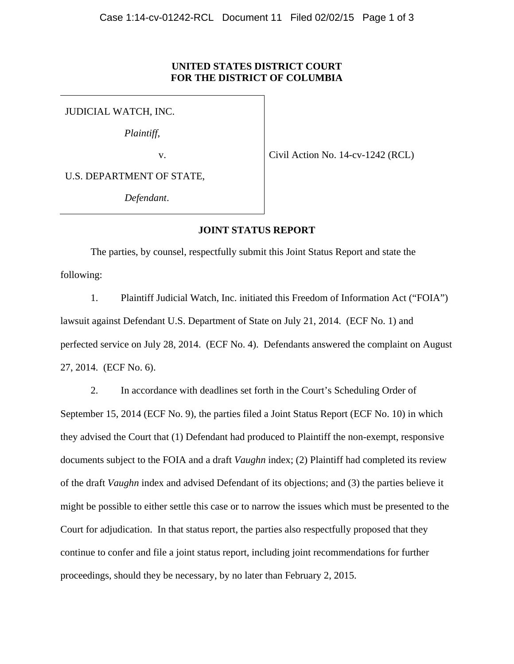## **UNITED STATES DISTRICT COURT FOR THE DISTRICT OF COLUMBIA**

JUDICIAL WATCH, INC.

*Plaintiff*,

v.

Civil Action No. 14-cv-1242 (RCL)

U.S. DEPARTMENT OF STATE,

*Defendant*.

## **JOINT STATUS REPORT**

The parties, by counsel, respectfully submit this Joint Status Report and state the following:

1. Plaintiff Judicial Watch, Inc. initiated this Freedom of Information Act ("FOIA") lawsuit against Defendant U.S. Department of State on July 21, 2014. (ECF No. 1) and perfected service on July 28, 2014. (ECF No. 4). Defendants answered the complaint on August 27, 2014. (ECF No. 6).

2. In accordance with deadlines set forth in the Court's Scheduling Order of September 15, 2014 (ECF No. 9), the parties filed a Joint Status Report (ECF No. 10) in which they advised the Court that (1) Defendant had produced to Plaintiff the non-exempt, responsive documents subject to the FOIA and a draft *Vaughn* index; (2) Plaintiff had completed its review of the draft *Vaughn* index and advised Defendant of its objections; and (3) the parties believe it might be possible to either settle this case or to narrow the issues which must be presented to the Court for adjudication. In that status report, the parties also respectfully proposed that they continue to confer and file a joint status report, including joint recommendations for further proceedings, should they be necessary, by no later than February 2, 2015.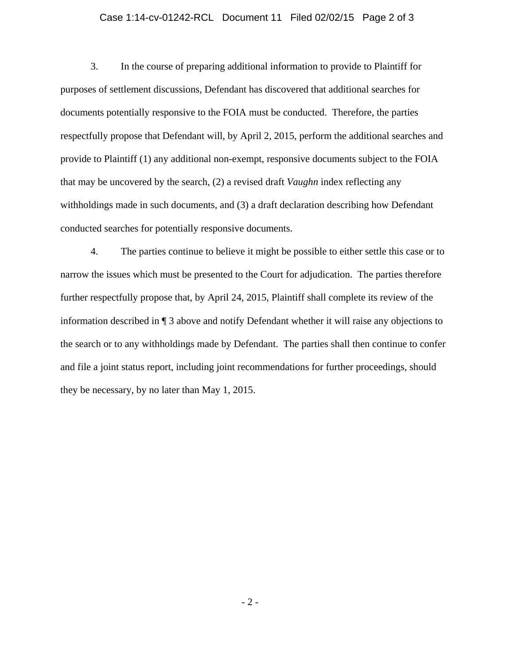## Case 1:14-cv-01242-RCL Document 11 Filed 02/02/15 Page 2 of 3

3. In the course of preparing additional information to provide to Plaintiff for purposes of settlement discussions, Defendant has discovered that additional searches for documents potentially responsive to the FOIA must be conducted. Therefore, the parties respectfully propose that Defendant will, by April 2, 2015, perform the additional searches and provide to Plaintiff (1) any additional non-exempt, responsive documents subject to the FOIA that may be uncovered by the search, (2) a revised draft *Vaughn* index reflecting any withholdings made in such documents, and (3) a draft declaration describing how Defendant conducted searches for potentially responsive documents.

4. The parties continue to believe it might be possible to either settle this case or to narrow the issues which must be presented to the Court for adjudication. The parties therefore further respectfully propose that, by April 24, 2015, Plaintiff shall complete its review of the information described in ¶ 3 above and notify Defendant whether it will raise any objections to the search or to any withholdings made by Defendant. The parties shall then continue to confer and file a joint status report, including joint recommendations for further proceedings, should they be necessary, by no later than May 1, 2015.